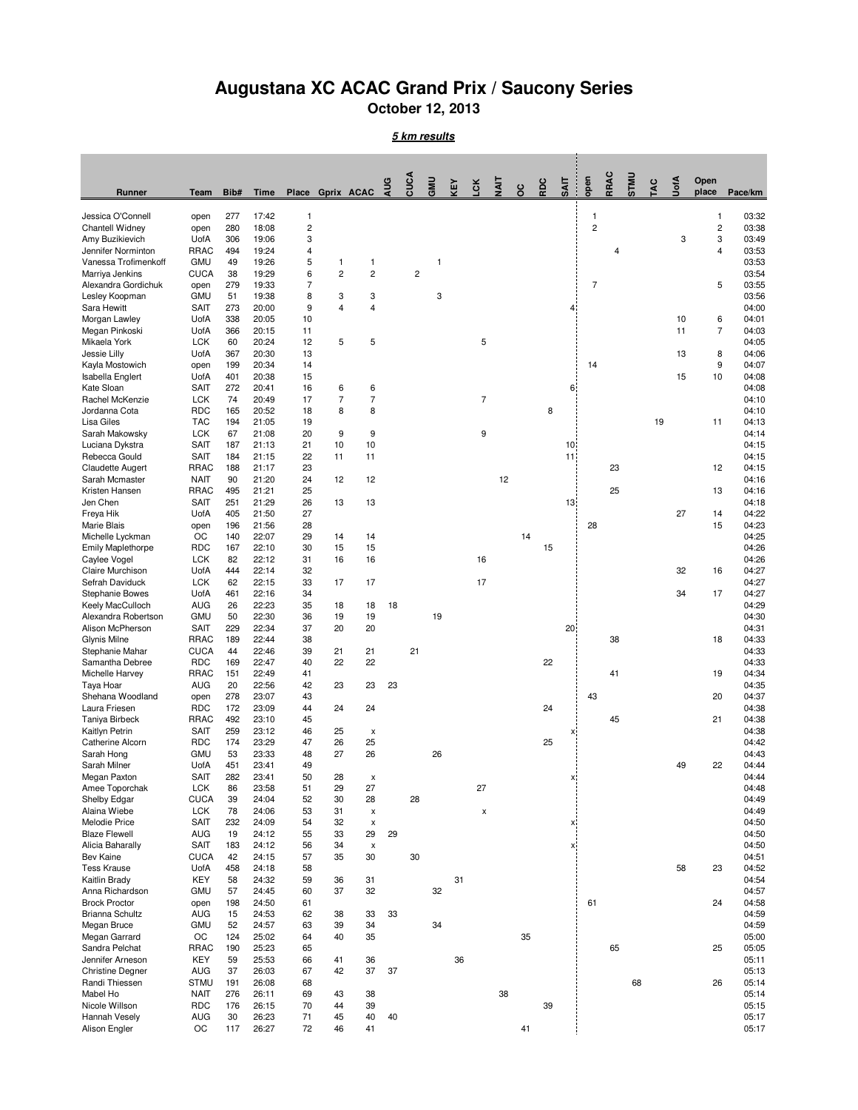## **Augustana XC ACAC Grand Prix / Saucony Series**

**October 12, 2013**

**5 km results**

|                                           |                            |            |                |                |                   |                      | ΑUG | cuc            | GMU | ΚEΥ | č                  | ξ  | 8  | RDC | <b>SAIT</b>                        | open           | RRAC | <b>UNIS</b> | ăy. | UotA | Open                    |                |
|-------------------------------------------|----------------------------|------------|----------------|----------------|-------------------|----------------------|-----|----------------|-----|-----|--------------------|----|----|-----|------------------------------------|----------------|------|-------------|-----|------|-------------------------|----------------|
| Runner                                    | Team                       | Bib#       | <b>Time</b>    | Place          | <b>Gprix ACAC</b> |                      |     |                |     |     |                    |    |    |     |                                    |                |      |             |     |      | place                   | Pace/km        |
| Jessica O'Connell                         | open                       | 277        | 17:42          | $\mathbf{1}$   |                   |                      |     |                |     |     |                    |    |    |     |                                    | $\mathbf{1}$   |      |             |     |      | 1                       | 03:32          |
| Chantell Widney                           | open                       | 280        | 18:08          | $\overline{c}$ |                   |                      |     |                |     |     |                    |    |    |     |                                    | $\overline{c}$ |      |             |     |      | $\overline{\mathbf{c}}$ | 03:38          |
| Amy Buzikievich<br>Jennifer Norminton     | UofA<br><b>RRAC</b>        | 306<br>494 | 19:06<br>19:24 | 3<br>4         |                   |                      |     |                |     |     |                    |    |    |     |                                    |                | 4    |             |     | 3    | 3<br>4                  | 03:49<br>03:53 |
| Vanessa Trofimenkoff                      | <b>GMU</b>                 | 49         | 19:26          | 5              | 1                 | $\mathbf{1}$         |     |                | 1   |     |                    |    |    |     |                                    |                |      |             |     |      |                         | 03:53          |
| Marriya Jenkins                           | <b>CUCA</b>                | 38         | 19:29          | 6              | $\overline{2}$    | $\overline{2}$       |     | $\overline{c}$ |     |     |                    |    |    |     |                                    |                |      |             |     |      |                         | 03:54          |
| Alexandra Gordichuk                       | open                       | 279        | 19:33          | $\overline{7}$ |                   |                      |     |                |     |     |                    |    |    |     |                                    | $\overline{7}$ |      |             |     |      | 5                       | 03:55          |
| Lesley Koopman                            | <b>GMU</b>                 | 51         | 19:38          | 8              | 3                 | 3                    |     |                | 3   |     |                    |    |    |     | $\overline{4}$ :                   |                |      |             |     |      |                         | 03:56          |
| Sara Hewitt<br>Morgan Lawley              | <b>SAIT</b><br>UofA        | 273<br>338 | 20:00<br>20:05 | 9<br>10        | 4                 | 4                    |     |                |     |     |                    |    |    |     |                                    |                |      |             |     | 10   | 6                       | 04:00<br>04:01 |
| Megan Pinkoski                            | UofA                       | 366        | 20:15          | 11             |                   |                      |     |                |     |     |                    |    |    |     |                                    |                |      |             |     | 11   | 7                       | 04:03          |
| Mikaela York                              | <b>LCK</b>                 | 60         | 20:24          | 12             | 5                 | 5                    |     |                |     |     | 5                  |    |    |     |                                    |                |      |             |     |      |                         | 04:05          |
| Jessie Lilly                              | UofA                       | 367        | 20:30          | 13             |                   |                      |     |                |     |     |                    |    |    |     |                                    |                |      |             |     | 13   | 8                       | 04:06          |
| Kayla Mostowich                           | open                       | 199        | 20:34          | 14             |                   |                      |     |                |     |     |                    |    |    |     |                                    | 14             |      |             |     |      | 9                       | 04:07          |
| Isabella Englert<br>Kate Sloan            | UofA<br><b>SAIT</b>        | 401<br>272 | 20:38<br>20:41 | 15<br>16       | 6                 | 6                    |     |                |     |     |                    |    |    |     | 6.                                 |                |      |             |     | 15   | 10                      | 04:08<br>04:08 |
| Rachel McKenzie                           | <b>LCK</b>                 | 74         | 20:49          | 17             | 7                 | $\overline{7}$       |     |                |     |     | $\overline{7}$     |    |    |     |                                    |                |      |             |     |      |                         | 04:10          |
| Jordanna Cota                             | <b>RDC</b>                 | 165        | 20:52          | 18             | 8                 | 8                    |     |                |     |     |                    |    |    | 8   |                                    |                |      |             |     |      |                         | 04:10          |
| <b>Lisa Giles</b>                         | <b>TAC</b>                 | 194        | 21:05          | 19             |                   |                      |     |                |     |     |                    |    |    |     |                                    |                |      |             | 19  |      | 11                      | 04:13          |
| Sarah Makowsky                            | <b>LCK</b>                 | 67         | 21:08          | 20             | 9                 | 9                    |     |                |     |     | 9                  |    |    |     |                                    |                |      |             |     |      |                         | 04:14          |
| Luciana Dykstra<br>Rebecca Gould          | <b>SAIT</b><br><b>SAIT</b> | 187<br>184 | 21:13<br>21:15 | 21<br>22       | 10<br>11          | 10<br>11             |     |                |     |     |                    |    |    |     | 10 <sup>1</sup><br>11 <sup>2</sup> |                |      |             |     |      |                         | 04:15<br>04:15 |
| Claudette Augert                          | <b>RRAC</b>                | 188        | 21:17          | 23             |                   |                      |     |                |     |     |                    |    |    |     |                                    |                | 23   |             |     |      | 12                      | 04:15          |
| Sarah Mcmaster                            | <b>NAIT</b>                | 90         | 21:20          | 24             | 12                | 12                   |     |                |     |     |                    | 12 |    |     |                                    |                |      |             |     |      |                         | 04:16          |
| Kristen Hansen                            | <b>RRAC</b>                | 495        | 21:21          | 25             |                   |                      |     |                |     |     |                    |    |    |     |                                    |                | 25   |             |     |      | 13                      | 04:16          |
| Jen Chen                                  | <b>SAIT</b>                | 251        | 21:29          | 26             | 13                | 13                   |     |                |     |     |                    |    |    |     | $13 -$                             |                |      |             |     |      |                         | 04:18          |
| Freya Hik                                 | UofA                       | 405        | 21:50          | 27             |                   |                      |     |                |     |     |                    |    |    |     |                                    |                |      |             |     | 27   | 14                      | 04:22          |
| Marie Blais<br>Michelle Lyckman           | open<br>OC                 | 196<br>140 | 21:56<br>22:07 | 28<br>29       | 14                | 14                   |     |                |     |     |                    |    | 14 |     |                                    | 28             |      |             |     |      | 15                      | 04:23<br>04:25 |
| <b>Emily Maplethorpe</b>                  | <b>RDC</b>                 | 167        | 22:10          | 30             | 15                | 15                   |     |                |     |     |                    |    |    | 15  |                                    |                |      |             |     |      |                         | 04:26          |
| Caylee Vogel                              | <b>LCK</b>                 | 82         | 22:12          | 31             | 16                | 16                   |     |                |     |     | 16                 |    |    |     |                                    |                |      |             |     |      |                         | 04:26          |
| Claire Murchison                          | UofA                       | 444        | 22:14          | 32             |                   |                      |     |                |     |     |                    |    |    |     |                                    |                |      |             |     | 32   | 16                      | 04:27          |
| Sefrah Daviduck                           | <b>LCK</b>                 | 62         | 22:15          | 33             | 17                | 17                   |     |                |     |     | 17                 |    |    |     |                                    |                |      |             |     |      |                         | 04:27          |
| <b>Stephanie Bowes</b>                    | UofA                       | 461        | 22:16          | 34             |                   |                      |     |                |     |     |                    |    |    |     |                                    |                |      |             |     | 34   | 17                      | 04:27          |
| Keely MacCulloch<br>Alexandra Robertson   | <b>AUG</b><br><b>GMU</b>   | 26<br>50   | 22:23<br>22:30 | 35<br>36       | 18<br>19          | 18<br>19             | 18  |                | 19  |     |                    |    |    |     |                                    |                |      |             |     |      |                         | 04:29<br>04:30 |
| Alison McPherson                          | <b>SAIT</b>                | 229        | 22:34          | 37             | 20                | 20                   |     |                |     |     |                    |    |    |     | 20;                                |                |      |             |     |      |                         | 04:31          |
| Glynis Milne                              | <b>RRAC</b>                | 189        | 22:44          | 38             |                   |                      |     |                |     |     |                    |    |    |     |                                    |                | 38   |             |     |      | 18                      | 04:33          |
| Stephanie Mahar                           | <b>CUCA</b>                | 44         | 22:46          | 39             | 21                | 21                   |     | 21             |     |     |                    |    |    |     |                                    |                |      |             |     |      |                         | 04:33          |
| Samantha Debree                           | <b>RDC</b>                 | 169        | 22:47          | 40             | 22                | 22                   |     |                |     |     |                    |    |    | 22  |                                    |                |      |             |     |      |                         | 04:33          |
| Michelle Harvey<br>Taya Hoar              | <b>RRAC</b><br><b>AUG</b>  | 151<br>20  | 22:49<br>22:56 | 41<br>42       | 23                | 23                   | 23  |                |     |     |                    |    |    |     |                                    |                | 41   |             |     |      | 19                      | 04:34<br>04:35 |
| Shehana Woodland                          | open                       | 278        | 23:07          | 43             |                   |                      |     |                |     |     |                    |    |    |     |                                    | 43             |      |             |     |      | 20                      | 04:37          |
| Laura Friesen                             | <b>RDC</b>                 | 172        | 23:09          | 44             | 24                | 24                   |     |                |     |     |                    |    |    | 24  |                                    |                |      |             |     |      |                         | 04:38          |
| Taniya Birbeck                            | <b>RRAC</b>                | 492        | 23:10          | 45             |                   |                      |     |                |     |     |                    |    |    |     |                                    |                | 45   |             |     |      | 21                      | 04:38          |
| Kaitlyn Petrin                            | <b>SAIT</b>                | 259        | 23:12          | 46             | 25                | $\pmb{\times}$       |     |                |     |     |                    |    |    |     | X,                                 |                |      |             |     |      |                         | 04:38          |
| Catherine Alcorn                          | <b>RDC</b>                 | 174        | 23:29          | 47             | 26<br>27          | 25                   |     |                |     |     |                    |    |    | 25  |                                    |                |      |             |     |      |                         | 04:42          |
| Sarah Hong<br>Sarah Milner                | <b>GMU</b><br><b>UofA</b>  | 53<br>451  | 23:33<br>23:41 | 48<br>49       |                   | 26                   |     |                | 26  |     |                    |    |    |     |                                    |                |      |             |     | 49   | 22                      | 04:43<br>04:44 |
| Megan Paxton                              | <b>SAIT</b>                | 282        | 23:41          | 50             | 28                | X                    |     |                |     |     |                    |    |    |     | x.                                 |                |      |             |     |      |                         | 04:44          |
| Amee Toporchak                            | <b>LCK</b>                 | 86         | 23:58          | 51             | 29                | 27                   |     |                |     |     | 27                 |    |    |     |                                    |                |      |             |     |      |                         | 04:48          |
| Shelby Edgar                              | <b>CUCA</b>                | 39         | 24:04          | 52             | 30                | 28                   |     | 28             |     |     |                    |    |    |     |                                    |                |      |             |     |      |                         | 04:49          |
| Alaina Wiebe                              | <b>LCK</b>                 | 78         | 24:06          | 53             | 31                | $\pmb{\times}$       |     |                |     |     | $\pmb{\mathsf{x}}$ |    |    |     |                                    |                |      |             |     |      |                         | 04:49          |
| Melodie Price<br><b>Blaze Flewell</b>     | <b>SAIT</b><br><b>AUG</b>  | 232<br>19  | 24:09<br>24:12 | 54<br>55       | 32<br>33          | $\pmb{\times}$<br>29 | 29  |                |     |     |                    |    |    |     | x.                                 |                |      |             |     |      |                         | 04:50<br>04:50 |
| Alicia Baharally                          | <b>SAIT</b>                | 183        | 24:12          | 56             | 34                | $\pmb{\times}$       |     |                |     |     |                    |    |    |     | X,                                 |                |      |             |     |      |                         | 04:50          |
| <b>Bev Kaine</b>                          | <b>CUCA</b>                | 42         | 24:15          | 57             | 35                | 30                   |     | 30             |     |     |                    |    |    |     |                                    |                |      |             |     |      |                         | 04:51          |
| <b>Tess Krause</b>                        | UofA                       | 458        | 24:18          | 58             |                   |                      |     |                |     |     |                    |    |    |     |                                    |                |      |             |     | 58   | 23                      | 04:52          |
| Kaitlin Brady                             | KEY                        | 58         | 24:32          | 59             | 36                | 31                   |     |                |     | 31  |                    |    |    |     |                                    |                |      |             |     |      |                         | 04:54          |
| Anna Richardson<br><b>Brock Proctor</b>   | <b>GMU</b>                 | 57         | 24:45          | 60             | 37                | 32                   |     |                | 32  |     |                    |    |    |     |                                    | 61             |      |             |     |      | 24                      | 04:57<br>04:58 |
| <b>Brianna Schultz</b>                    | open<br><b>AUG</b>         | 198<br>15  | 24:50<br>24:53 | 61<br>62       | 38                | 33                   | 33  |                |     |     |                    |    |    |     |                                    |                |      |             |     |      |                         | 04:59          |
| Megan Bruce                               | <b>GMU</b>                 | 52         | 24:57          | 63             | 39                | 34                   |     |                | 34  |     |                    |    |    |     |                                    |                |      |             |     |      |                         | 04:59          |
| Megan Garrard                             | OC                         | 124        | 25:02          | 64             | 40                | 35                   |     |                |     |     |                    |    | 35 |     |                                    |                |      |             |     |      |                         | 05:00          |
| Sandra Pelchat                            | <b>RRAC</b>                | 190        | 25:23          | 65             |                   |                      |     |                |     |     |                    |    |    |     |                                    |                | 65   |             |     |      | 25                      | 05:05          |
| Jennifer Arneson                          | KEY                        | 59         | 25:53          | 66             | 41                | 36                   |     |                |     | 36  |                    |    |    |     |                                    |                |      |             |     |      |                         | 05:11          |
| <b>Christine Degner</b><br>Randi Thiessen | AUG<br><b>STMU</b>         | 37<br>191  | 26:03<br>26:08 | 67<br>68       | 42                | 37                   | 37  |                |     |     |                    |    |    |     |                                    |                |      | 68          |     |      | 26                      | 05:13<br>05:14 |
| Mabel Ho                                  | <b>NAIT</b>                | 276        | 26:11          | 69             | 43                | 38                   |     |                |     |     |                    | 38 |    |     |                                    |                |      |             |     |      |                         | 05:14          |
| Nicole Willson                            | <b>RDC</b>                 | 176        | 26:15          | 70             | 44                | 39                   |     |                |     |     |                    |    |    | 39  |                                    |                |      |             |     |      |                         | 05:15          |
| Hannah Vesely                             | <b>AUG</b>                 | 30         | 26:23          | 71             | 45                | 40                   | 40  |                |     |     |                    |    |    |     |                                    |                |      |             |     |      |                         | 05:17          |
| Alison Engler                             | OC                         | 117        | 26:27          | 72             | 46                | 41                   |     |                |     |     |                    |    | 41 |     |                                    |                |      |             |     |      |                         | 05:17          |